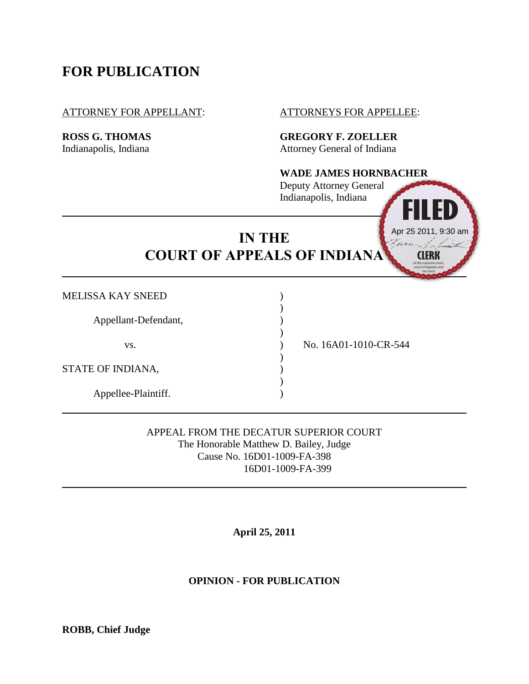## **FOR PUBLICATION**

#### ATTORNEY FOR APPELLANT: ATTORNEYS FOR APPELLEE:

**ROSS G. THOMAS GREGORY F. ZOELLER** Indianapolis, Indiana **Attorney General of Indiana** 

# **WADE JAMES HORNBACHER FILED**

**CLERK**

of the supreme court, court of appeals and

Apr 25 2011, 9:30 am

Deputy Attorney General Indianapolis, Indiana

# **IN THE COURT OF APPEALS OF INDIANA**

| MELISSA KAY SNEED    |                       |
|----------------------|-----------------------|
| Appellant-Defendant, |                       |
| VS.                  | No. 16A01-1010-CR-544 |
| STATE OF INDIANA,    |                       |
| Appellee-Plaintiff.  |                       |

APPEAL FROM THE DECATUR SUPERIOR COURT The Honorable Matthew D. Bailey, Judge Cause No. 16D01-1009-FA-398 16D01-1009-FA-399

**April 25, 2011**

## **OPINION - FOR PUBLICATION**

**ROBB, Chief Judge**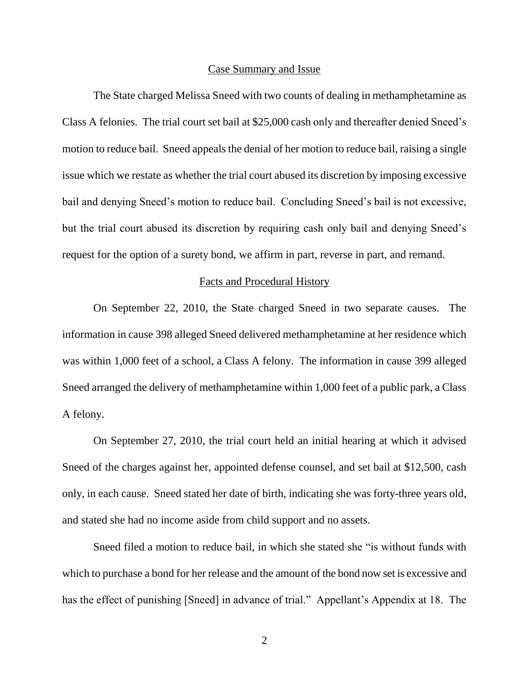#### Case Summary and Issue

The State charged Melissa Sneed with two counts of dealing in methamphetamine as Class A felonies. The trial court set bail at \$25,000 cash only and thereafter denied Sneed's motion to reduce bail. Sneed appeals the denial of her motion to reduce bail, raising a single issue which we restate as whether the trial court abused its discretion by imposing excessive bail and denying Sneed's motion to reduce bail. Concluding Sneed's bail is not excessive, but the trial court abused its discretion by requiring cash only bail and denying Sneed's request for the option of a surety bond, we affirm in part, reverse in part, and remand.

#### Facts and Procedural History

On September 22, 2010, the State charged Sneed in two separate causes. The information in cause 398 alleged Sneed delivered methamphetamine at her residence which was within 1,000 feet of a school, a Class A felony. The information in cause 399 alleged Sneed arranged the delivery of methamphetamine within 1,000 feet of a public park, a Class A felony.

On September 27, 2010, the trial court held an initial hearing at which it advised Sneed of the charges against her, appointed defense counsel, and set bail at \$12,500, cash only, in each cause. Sneed stated her date of birth, indicating she was forty-three years old, and stated she had no income aside from child support and no assets.

Sneed filed a motion to reduce bail, in which she stated she "is without funds with which to purchase a bond for her release and the amount of the bond now set is excessive and has the effect of punishing [Sneed] in advance of trial." Appellant's Appendix at 18. The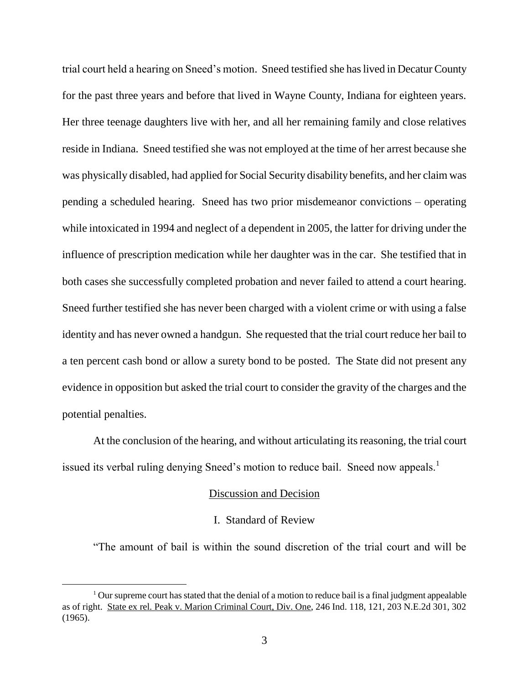trial court held a hearing on Sneed's motion. Sneed testified she has lived in Decatur County for the past three years and before that lived in Wayne County, Indiana for eighteen years. Her three teenage daughters live with her, and all her remaining family and close relatives reside in Indiana. Sneed testified she was not employed at the time of her arrest because she was physically disabled, had applied for Social Security disability benefits, and her claim was pending a scheduled hearing. Sneed has two prior misdemeanor convictions – operating while intoxicated in 1994 and neglect of a dependent in 2005, the latter for driving under the influence of prescription medication while her daughter was in the car. She testified that in both cases she successfully completed probation and never failed to attend a court hearing. Sneed further testified she has never been charged with a violent crime or with using a false identity and has never owned a handgun. She requested that the trial court reduce her bail to a ten percent cash bond or allow a surety bond to be posted. The State did not present any evidence in opposition but asked the trial court to consider the gravity of the charges and the potential penalties.

At the conclusion of the hearing, and without articulating its reasoning, the trial court issued its verbal ruling denying Sneed's motion to reduce bail. Sneed now appeals.<sup>1</sup>

## Discussion and Decision

#### I. Standard of Review

"The amount of bail is within the sound discretion of the trial court and will be

 $\overline{a}$ 

 $1$  Our supreme court has stated that the denial of a motion to reduce bail is a final judgment appealable as of right. State ex rel. Peak v. Marion Criminal Court, Div. One, 246 Ind. 118, 121, 203 N.E.2d 301, 302 (1965).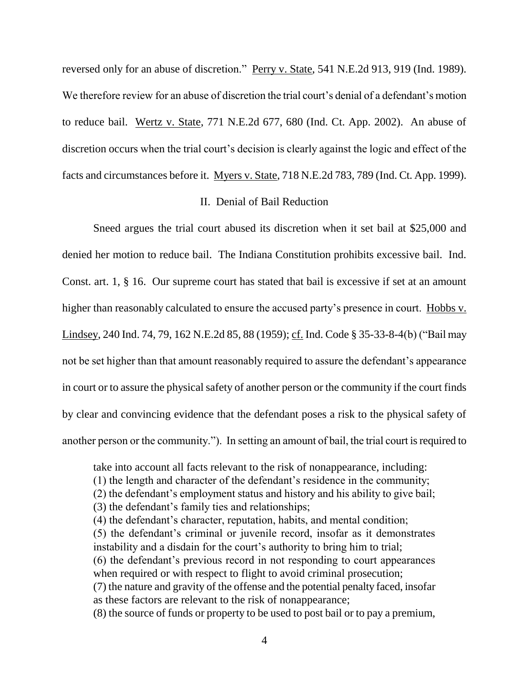reversed only for an abuse of discretion." Perry v. State, 541 N.E.2d 913, 919 (Ind. 1989). We therefore review for an abuse of discretion the trial court's denial of a defendant's motion to reduce bail. Wertz v. State, 771 N.E.2d 677, 680 (Ind. Ct. App. 2002). An abuse of discretion occurs when the trial court's decision is clearly against the logic and effect of the facts and circumstances before it. Myers v. State, 718 N.E.2d 783, 789 (Ind. Ct. App. 1999).

### II. Denial of Bail Reduction

Sneed argues the trial court abused its discretion when it set bail at \$25,000 and denied her motion to reduce bail. The Indiana Constitution prohibits excessive bail. Ind. Const. art. 1, § 16. Our supreme court has stated that bail is excessive if set at an amount higher than reasonably calculated to ensure the accused party's presence in court. Hobbs v. Lindsey, 240 Ind. 74, 79, 162 N.E.2d 85, 88 (1959); cf. Ind. Code § 35-33-8-4(b) ("Bail may not be set higher than that amount reasonably required to assure the defendant's appearance in court or to assure the physical safety of another person or the community if the court finds by clear and convincing evidence that the defendant poses a risk to the physical safety of another person or the community."). In setting an amount of bail, the trial court is required to

take into account all facts relevant to the risk of nonappearance, including: (1) the length and character of the defendant's residence in the community; (2) the defendant's employment status and history and his ability to give bail; (3) the defendant's family ties and relationships; (4) the defendant's character, reputation, habits, and mental condition; (5) the defendant's criminal or juvenile record, insofar as it demonstrates instability and a disdain for the court's authority to bring him to trial; (6) the defendant's previous record in not responding to court appearances when required or with respect to flight to avoid criminal prosecution; (7) the nature and gravity of the offense and the potential penalty faced, insofar as these factors are relevant to the risk of nonappearance; (8) the source of funds or property to be used to post bail or to pay a premium,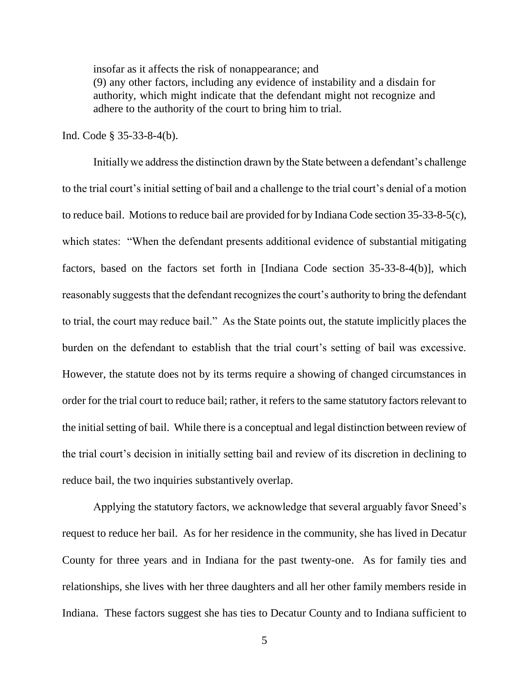insofar as it affects the risk of nonappearance; and (9) any other factors, including any evidence of instability and a disdain for authority, which might indicate that the defendant might not recognize and adhere to the authority of the court to bring him to trial.

Ind. Code § 35-33-8-4(b).

Initially we address the distinction drawn by the State between a defendant's challenge to the trial court's initial setting of bail and a challenge to the trial court's denial of a motion to reduce bail. Motions to reduce bail are provided for by Indiana Code section 35-33-8-5(c), which states: "When the defendant presents additional evidence of substantial mitigating factors, based on the factors set forth in [Indiana Code section 35-33-8-4(b)], which reasonably suggests that the defendant recognizes the court's authority to bring the defendant to trial, the court may reduce bail." As the State points out, the statute implicitly places the burden on the defendant to establish that the trial court's setting of bail was excessive. However, the statute does not by its terms require a showing of changed circumstances in order for the trial court to reduce bail; rather, it refers to the same statutory factors relevant to the initial setting of bail. While there is a conceptual and legal distinction between review of the trial court's decision in initially setting bail and review of its discretion in declining to reduce bail, the two inquiries substantively overlap.

Applying the statutory factors, we acknowledge that several arguably favor Sneed's request to reduce her bail. As for her residence in the community, she has lived in Decatur County for three years and in Indiana for the past twenty-one. As for family ties and relationships, she lives with her three daughters and all her other family members reside in Indiana. These factors suggest she has ties to Decatur County and to Indiana sufficient to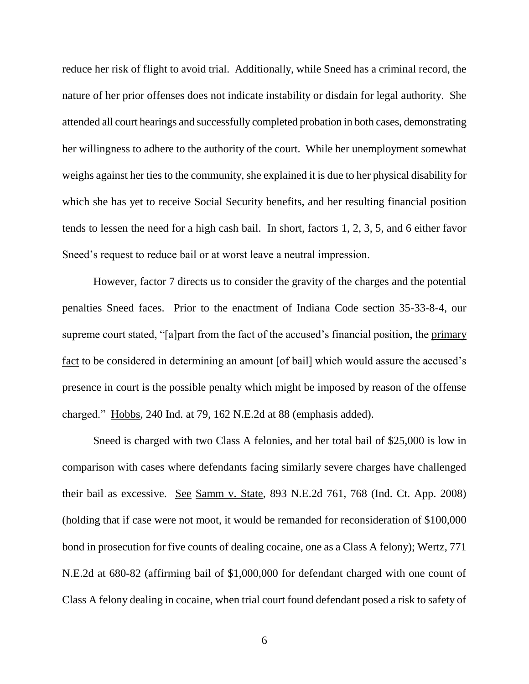reduce her risk of flight to avoid trial. Additionally, while Sneed has a criminal record, the nature of her prior offenses does not indicate instability or disdain for legal authority. She attended all court hearings and successfully completed probation in both cases, demonstrating her willingness to adhere to the authority of the court. While her unemployment somewhat weighs against her ties to the community, she explained it is due to her physical disability for which she has yet to receive Social Security benefits, and her resulting financial position tends to lessen the need for a high cash bail. In short, factors 1, 2, 3, 5, and 6 either favor Sneed's request to reduce bail or at worst leave a neutral impression.

However, factor 7 directs us to consider the gravity of the charges and the potential penalties Sneed faces. Prior to the enactment of Indiana Code section 35-33-8-4, our supreme court stated, "[a]part from the fact of the accused's financial position, the primary fact to be considered in determining an amount [of bail] which would assure the accused's presence in court is the possible penalty which might be imposed by reason of the offense charged." Hobbs, 240 Ind. at 79, 162 N.E.2d at 88 (emphasis added).

Sneed is charged with two Class A felonies, and her total bail of \$25,000 is low in comparison with cases where defendants facing similarly severe charges have challenged their bail as excessive. See Samm v. State, 893 N.E.2d 761, 768 (Ind. Ct. App. 2008) (holding that if case were not moot, it would be remanded for reconsideration of \$100,000 bond in prosecution for five counts of dealing cocaine, one as a Class A felony); Wertz, 771 N.E.2d at 680-82 (affirming bail of \$1,000,000 for defendant charged with one count of Class A felony dealing in cocaine, when trial court found defendant posed a risk to safety of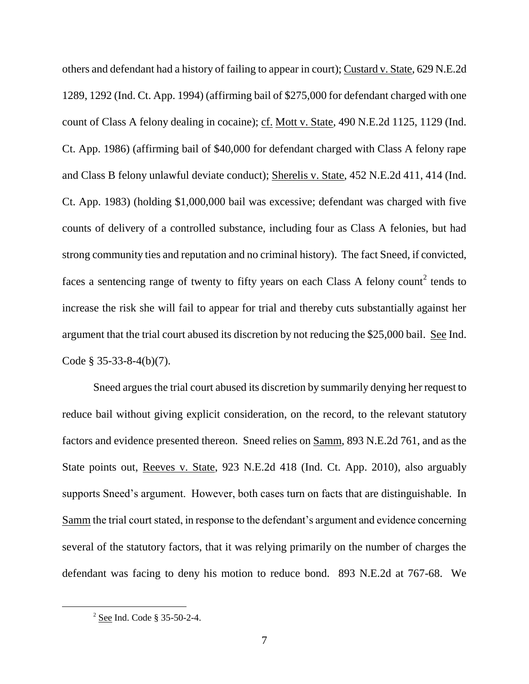others and defendant had a history of failing to appear in court); Custard v. State, 629 N.E.2d 1289, 1292 (Ind. Ct. App. 1994) (affirming bail of \$275,000 for defendant charged with one count of Class A felony dealing in cocaine); cf. Mott v. State, 490 N.E.2d 1125, 1129 (Ind. Ct. App. 1986) (affirming bail of \$40,000 for defendant charged with Class A felony rape and Class B felony unlawful deviate conduct); Sherelis v. State, 452 N.E.2d 411, 414 (Ind. Ct. App. 1983) (holding \$1,000,000 bail was excessive; defendant was charged with five counts of delivery of a controlled substance, including four as Class A felonies, but had strong community ties and reputation and no criminal history). The fact Sneed, if convicted, faces a sentencing range of twenty to fifty years on each Class A felony count<sup>2</sup> tends to increase the risk she will fail to appear for trial and thereby cuts substantially against her argument that the trial court abused its discretion by not reducing the \$25,000 bail. See Ind. Code § 35-33-8-4(b)(7).

Sneed argues the trial court abused its discretion by summarily denying her request to reduce bail without giving explicit consideration, on the record, to the relevant statutory factors and evidence presented thereon. Sneed relies on Samm, 893 N.E.2d 761, and as the State points out, Reeves v. State, 923 N.E.2d 418 (Ind. Ct. App. 2010), also arguably supports Sneed's argument. However, both cases turn on facts that are distinguishable. In Samm the trial court stated, in response to the defendant's argument and evidence concerning several of the statutory factors, that it was relying primarily on the number of charges the defendant was facing to deny his motion to reduce bond. 893 N.E.2d at 767-68. We

 $2^{2}$  See Ind. Code § 35-50-2-4.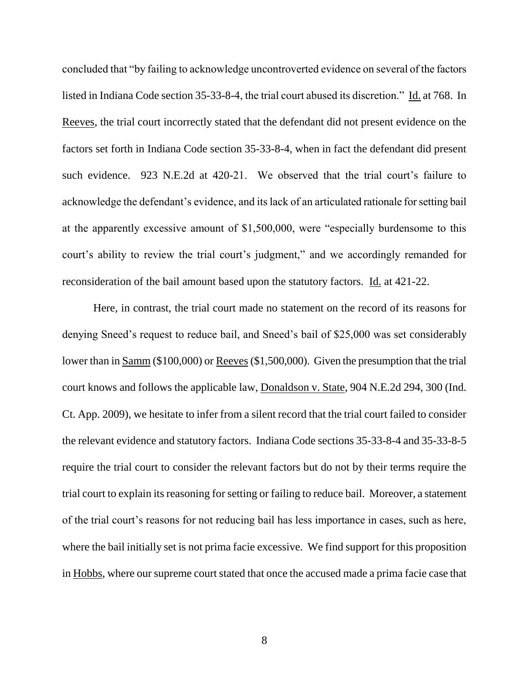concluded that "by failing to acknowledge uncontroverted evidence on several of the factors listed in Indiana Code section 35-33-8-4, the trial court abused its discretion." Id. at 768. In Reeves, the trial court incorrectly stated that the defendant did not present evidence on the factors set forth in Indiana Code section 35-33-8-4, when in fact the defendant did present such evidence. 923 N.E.2d at 420-21. We observed that the trial court's failure to acknowledge the defendant's evidence, and its lack of an articulated rationale for setting bail at the apparently excessive amount of \$1,500,000, were "especially burdensome to this court's ability to review the trial court's judgment," and we accordingly remanded for reconsideration of the bail amount based upon the statutory factors. Id. at 421-22.

Here, in contrast, the trial court made no statement on the record of its reasons for denying Sneed's request to reduce bail, and Sneed's bail of \$25,000 was set considerably lower than in Samm (\$100,000) or Reeves (\$1,500,000). Given the presumption that the trial court knows and follows the applicable law, Donaldson v. State, 904 N.E.2d 294, 300 (Ind. Ct. App. 2009), we hesitate to infer from a silent record that the trial court failed to consider the relevant evidence and statutory factors. Indiana Code sections 35-33-8-4 and 35-33-8-5 require the trial court to consider the relevant factors but do not by their terms require the trial court to explain its reasoning for setting or failing to reduce bail. Moreover, a statement of the trial court's reasons for not reducing bail has less importance in cases, such as here, where the bail initially set is not prima facie excessive. We find support for this proposition in Hobbs, where our supreme court stated that once the accused made a prima facie case that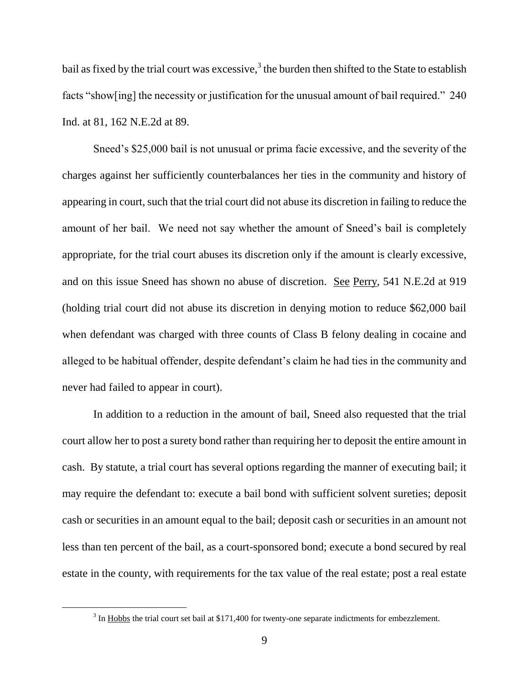bail as fixed by the trial court was excessive, $3$  the burden then shifted to the State to establish facts "show[ing] the necessity or justification for the unusual amount of bail required." 240 Ind. at 81, 162 N.E.2d at 89.

Sneed's \$25,000 bail is not unusual or prima facie excessive, and the severity of the charges against her sufficiently counterbalances her ties in the community and history of appearing in court, such that the trial court did not abuse its discretion in failing to reduce the amount of her bail. We need not say whether the amount of Sneed's bail is completely appropriate, for the trial court abuses its discretion only if the amount is clearly excessive, and on this issue Sneed has shown no abuse of discretion. See Perry, 541 N.E.2d at 919 (holding trial court did not abuse its discretion in denying motion to reduce \$62,000 bail when defendant was charged with three counts of Class B felony dealing in cocaine and alleged to be habitual offender, despite defendant's claim he had ties in the community and never had failed to appear in court).

In addition to a reduction in the amount of bail, Sneed also requested that the trial court allow her to post a surety bond rather than requiring her to deposit the entire amount in cash. By statute, a trial court has several options regarding the manner of executing bail; it may require the defendant to: execute a bail bond with sufficient solvent sureties; deposit cash or securities in an amount equal to the bail; deposit cash or securities in an amount not less than ten percent of the bail, as a court-sponsored bond; execute a bond secured by real estate in the county, with requirements for the tax value of the real estate; post a real estate

 $3 \text{ In } \underline{\text{Hobbs}}$  the trial court set bail at \$171,400 for twenty-one separate indictments for embezzlement.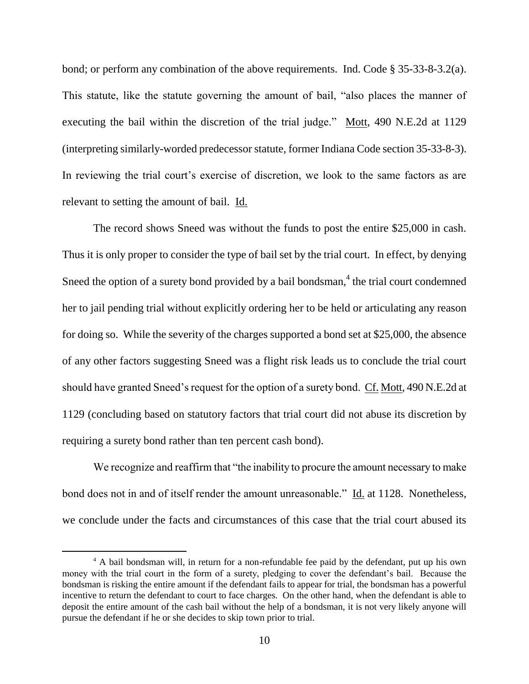bond; or perform any combination of the above requirements. Ind. Code § 35-33-8-3.2(a). This statute, like the statute governing the amount of bail, "also places the manner of executing the bail within the discretion of the trial judge." Mott, 490 N.E.2d at 1129 (interpreting similarly-worded predecessor statute, former Indiana Code section 35-33-8-3). In reviewing the trial court's exercise of discretion, we look to the same factors as are relevant to setting the amount of bail. Id.

The record shows Sneed was without the funds to post the entire \$25,000 in cash. Thus it is only proper to consider the type of bail set by the trial court. In effect, by denying Sneed the option of a surety bond provided by a bail bondsman, $<sup>4</sup>$  the trial court condemned</sup> her to jail pending trial without explicitly ordering her to be held or articulating any reason for doing so. While the severity of the charges supported a bond set at \$25,000, the absence of any other factors suggesting Sneed was a flight risk leads us to conclude the trial court should have granted Sneed's request for the option of a surety bond. Cf. Mott, 490 N.E.2d at 1129 (concluding based on statutory factors that trial court did not abuse its discretion by requiring a surety bond rather than ten percent cash bond).

We recognize and reaffirm that "the inability to procure the amount necessary to make bond does not in and of itself render the amount unreasonable." Id. at 1128. Nonetheless, we conclude under the facts and circumstances of this case that the trial court abused its

<sup>4</sup> A bail bondsman will, in return for a non-refundable fee paid by the defendant, put up his own money with the trial court in the form of a surety, pledging to cover the defendant's bail. Because the bondsman is risking the entire amount if the defendant fails to appear for trial, the bondsman has a powerful incentive to return the defendant to court to face charges. On the other hand, when the defendant is able to deposit the entire amount of the cash bail without the help of a bondsman, it is not very likely anyone will pursue the defendant if he or she decides to skip town prior to trial.